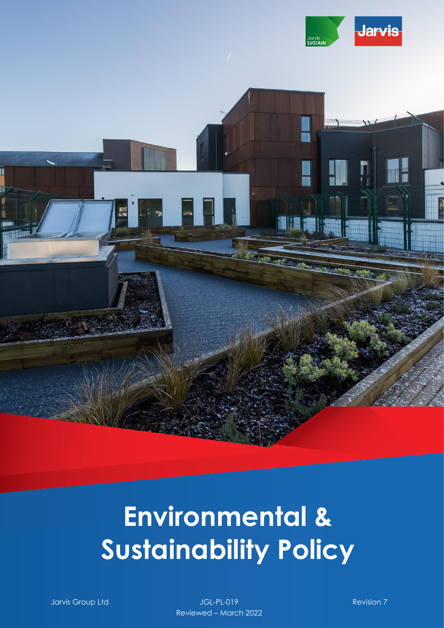

III

# **Environmental & Sustainability Policy**

Jarvis Group Ltd JGL-PL-019 Revision 7 Reviewed – March 2022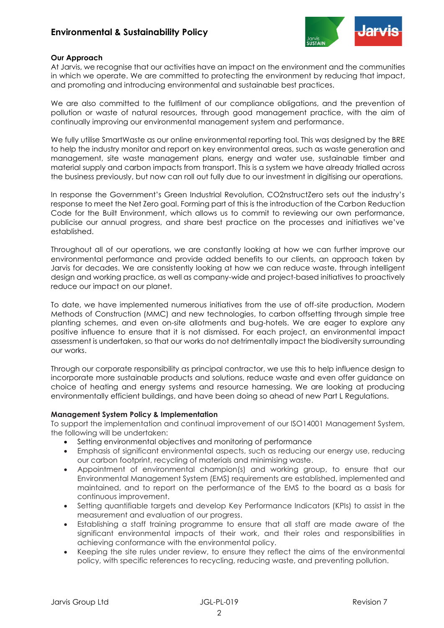## **Environmental & Sustainability Policy**



#### **Our Approach**

At Jarvis, we recognise that our activities have an impact on the environment and the communities in which we operate. We are committed to protecting the environment by reducing that impact, and promoting and introducing environmental and sustainable best practices.

We are also committed to the fulfilment of our compliance obligations, and the prevention of pollution or waste of natural resources, through good management practice, with the aim of continually improving our environmental management system and performance.

We fully utilise SmartWaste as our online environmental reporting tool. This was designed by the BRE to help the industry monitor and report on key environmental areas, such as waste generation and management, site waste management plans, energy and water use, sustainable timber and material supply and carbon impacts from transport. This is a system we have already trialled across the business previously, but now can roll out fully due to our investment in digitising our operations.

In response the Government's Green Industrial Revolution, CO2nstructZero sets out the industry's response to meet the Net Zero goal. Forming part of this is the introduction of the Carbon Reduction Code for the Built Environment, which allows us to commit to reviewing our own performance, publicise our annual progress, and share best practice on the processes and initiatives we've established.

Throughout all of our operations, we are constantly looking at how we can further improve our environmental performance and provide added benefits to our clients, an approach taken by Jarvis for decades. We are consistently looking at how we can reduce waste, through intelligent design and working practice, as well as company-wide and project-based initiatives to proactively reduce our impact on our planet.

To date, we have implemented numerous initiatives from the use of off-site production, Modern Methods of Construction (MMC) and new technologies, to carbon offsetting through simple tree planting schemes, and even on-site allotments and bug-hotels. We are eager to explore any positive influence to ensure that it is not dismissed. For each project, an environmental impact assessment is undertaken, so that our works do not detrimentally impact the biodiversity surrounding our works.

Through our corporate responsibility as principal contractor, we use this to help influence design to incorporate more sustainable products and solutions, reduce waste and even offer guidance on choice of heating and energy systems and resource harnessing. We are looking at producing environmentally efficient buildings, and have been doing so ahead of new Part L Regulations.

#### **Management System Policy & Implementation**

To support the implementation and continual improvement of our ISO14001 Management System, the following will be undertaken:

- Setting environmental objectives and monitoring of performance
- Emphasis of significant environmental aspects, such as reducing our energy use, reducing our carbon footprint, recycling of materials and minimising waste.
- Appointment of environmental champion(s) and working group, to ensure that our Environmental Management System (EMS) requirements are established, implemented and maintained, and to report on the performance of the EMS to the board as a basis for continuous improvement.
- Setting quantifiable targets and develop Key Performance Indicators (KPIs) to assist in the measurement and evaluation of our progress.
- Establishing a staff training programme to ensure that all staff are made aware of the significant environmental impacts of their work, and their roles and responsibilities in achieving conformance with the environmental policy.
- Keeping the site rules under review, to ensure they reflect the aims of the environmental policy, with specific references to recycling, reducing waste, and preventing pollution.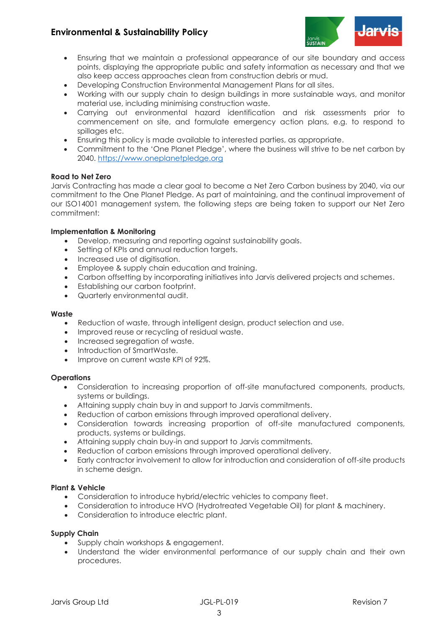# **Environmental & Sustainability Policy**



- Ensuring that we maintain a professional appearance of our site boundary and access points, displaying the appropriate public and safety information as necessary and that we also keep access approaches clean from construction debris or mud.
- Developing Construction Environmental Management Plans for all sites.
- Working with our supply chain to design buildings in more sustainable ways, and monitor material use, including minimising construction waste.
- Carrying out environmental hazard identification and risk assessments prior to commencement on site, and formulate emergency action plans, e.g. to respond to spillages etc.
- Ensuring this policy is made available to interested parties, as appropriate.
- Commitment to the 'One Planet Pledge', where the business will strive to be net carbon by 2040. [https://www.oneplanetpledge.org](https://www.oneplanetpledge.org/)

#### **Road to Net Zero**

Jarvis Contracting has made a clear goal to become a Net Zero Carbon business by 2040, via our commitment to the One Planet Pledge. As part of maintaining, and the continual improvement of our ISO14001 management system, the following steps are being taken to support our Net Zero commitment:

#### **Implementation & Monitoring**

- Develop, measuring and reporting against sustainability goals.
- Setting of KPIs and annual reduction targets.
- Increased use of digitisation.
- Employee & supply chain education and training.
- Carbon offsetting by incorporating initiatives into Jarvis delivered projects and schemes.
- Establishing our carbon footprint.
- Quarterly environmental audit.

#### **Waste**

- Reduction of waste, through intelligent design, product selection and use.
- Improved reuse or recycling of residual waste.
- Increased segregation of waste.
- Introduction of SmartWaste.
- Improve on current waste KPI of 92%.

#### **Operations**

- Consideration to increasing proportion of off-site manufactured components, products, systems or buildings.
- Attaining supply chain buy in and support to Jarvis commitments.
- Reduction of carbon emissions through improved operational delivery.
- Consideration towards increasing proportion of off-site manufactured components, products, systems or buildings.
- Attaining supply chain buy-in and support to Jarvis commitments.
- Reduction of carbon emissions through improved operational delivery.
- Early contractor involvement to allow for introduction and consideration of off-site products in scheme design.

#### **Plant & Vehicle**

- Consideration to introduce hybrid/electric vehicles to company fleet.
- Consideration to introduce HVO (Hydrotreated Vegetable Oil) for plant & machinery.
- Consideration to introduce electric plant.

#### **Supply Chain**

- Supply chain workshops & engagement.
- Understand the wider environmental performance of our supply chain and their own procedures.